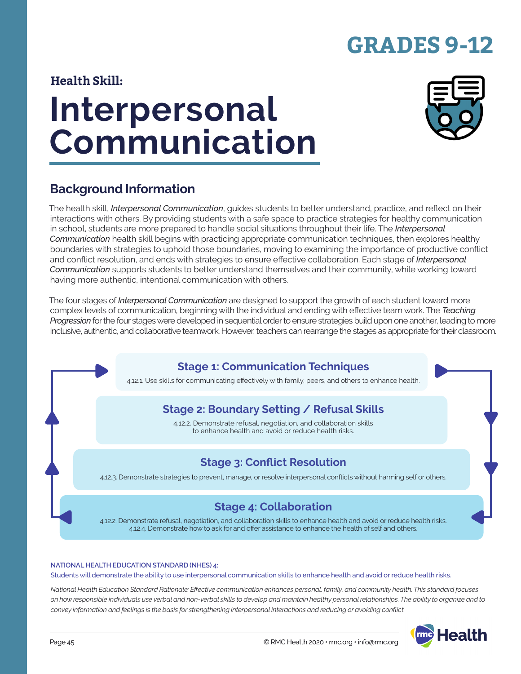# **GRADES 9-12**

### **Health Skill:**

# **Interpersonal Communication**



### **Background Information**

The health skill, *Interpersonal Communication*, guides students to better understand, practice, and reflect on their interactions with others. By providing students with a safe space to practice strategies for healthy communication in school, students are more prepared to handle social situations throughout their life. The *Interpersonal Communication* health skill begins with practicing appropriate communication techniques, then explores healthy boundaries with strategies to uphold those boundaries, moving to examining the importance of productive conflict and conflict resolution, and ends with strategies to ensure effective collaboration. Each stage of *Interpersonal Communication* supports students to better understand themselves and their community, while working toward having more authentic, intentional communication with others.

The four stages of *Interpersonal Communication* are designed to support the growth of each student toward more complex levels of communication, beginning with the individual and ending with effective team work. The *Teaching Progression* for the four stages were developed in sequential order to ensure strategies build upon one another, leading to more inclusive, authentic, and collaborative teamwork. However, teachers can rearrange the stages as appropriate for their classroom.

### **Stage 1: Communication Techniques**

4.12.1. Use skills for communicating effectively with family, peers, and others to enhance health.

### **Stage 2: Boundary Setting / Refusal Skills**

4.12.2. Demonstrate refusal, negotiation, and collaboration skills to enhance health and avoid or reduce health risks.

### **Stage 3: Conflict Resolution**

4.12.3. Demonstrate strategies to prevent, manage, or resolve interpersonal conflicts without harming self or others.

### **Stage 4: Collaboration**

4.12.2. Demonstrate refusal, negotiation, and collaboration skills to enhance health and avoid or reduce health risks. 4.12.4. Demonstrate how to ask for and offer assistance to enhance the health of self and others.

#### **NATIONAL HEALTH EDUCATION STANDARD (NHES) 4:**

Students will demonstrate the ability to use interpersonal communication skills to enhance health and avoid or reduce health risks.

*National Health Education Standard Rationale: Effective communication enhances personal, family, and community health. This standard focuses on how responsible individuals use verbal and non-verbal skills to develop and maintain healthy personal relationships. The ability to organize and to convey information and feelings is the basis for strengthening interpersonal interactions and reducing or avoiding conflict.*

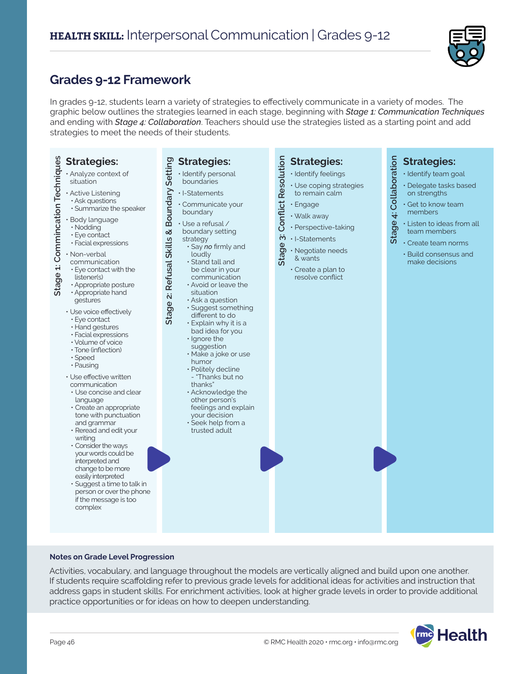

### **Grades 9-12 Framework**

In grades 9-12, students learn a variety of strategies to effectively communicate in a variety of modes. The graphic below outlines the strategies learned in each stage, beginning with *Stage 1: Communication Techniques* and ending with *Stage 4: Collaboration*. Teachers should use the strategies listed as a starting point and add strategies to meet the needs of their students.

| Stage 1: Commincation Techniques<br><b>Strategies:</b><br>· Analyze context of<br>situation<br>· Active Listening<br>· Ask questions<br>· Summarize the speaker<br>· Body language<br>· Nodding<br>· Eye contact<br>· Facial expressions<br>· Non-verbal<br>communication<br>• Eye contact with the<br>listener(s)<br>· Appropriate posture<br>· Appropriate hand<br>gestures<br>• Use voice effectively<br>· Eye contact<br>· Hand gestures<br>· Facial expressions<br>· Volume of voice<br>· Tone (inflection)<br>· Speed<br>· Pausing<br>· Use effective written<br>communication<br>• Use concise and clear<br>language<br>· Create an appropriate<br>tone with punctuation<br>and grammar<br>· Reread and edit your<br>writing<br>• Consider the ways<br>your words could be<br>interpreted and<br>change to be more<br>easily interpreted | Setting<br><b>Strategies:</b><br>· Identify personal<br>boundaries<br>Boundary<br>$\cdot$ I-Statements<br>· Communicate your<br>boundary<br>· Use a refusal /<br>Refusal Skills &<br>boundary setting<br>strategy<br>· Say no firmly and<br>loudly<br>$\cdot$ Stand tall and<br>be clear in your<br>communication<br>• Avoid or leave the<br>situation<br>Stage 2:<br>· Ask a question<br>· Suggest something<br>different to do<br>· Explain why it is a<br>bad idea for you<br>· Ignore the<br>suggestion<br>· Make a joke or use<br>humor<br>· Politely decline<br>- "Thanks but no<br>thanks"<br>· Acknowledge the<br>other person's<br>feelings and explain<br>your decision<br>· Seek help from a<br>trusted adult | <b>Conflict Resolution</b><br><b>Strategies:</b><br>· Identify feelings<br>· Use coping strategies<br>to remain calm<br>· Engage<br>· Walk away<br>· Perspective-taking<br>$\ddot{\mathbf{c}}$<br>· I-Statements<br>Stage<br>· Negotiate needs<br>& wants<br>$\cdot$ Create a plan to<br>resolve conflict | Stage 4: Collaboration<br><b>Strategies:</b><br>· Identify team goal<br>· Delegate tasks based<br>on strengths<br>· Get to know team<br>members<br>· Listen to ideas from all<br>team members<br>· Create team norms<br>· Build consensus and<br>make decisions |
|-------------------------------------------------------------------------------------------------------------------------------------------------------------------------------------------------------------------------------------------------------------------------------------------------------------------------------------------------------------------------------------------------------------------------------------------------------------------------------------------------------------------------------------------------------------------------------------------------------------------------------------------------------------------------------------------------------------------------------------------------------------------------------------------------------------------------------------------------|--------------------------------------------------------------------------------------------------------------------------------------------------------------------------------------------------------------------------------------------------------------------------------------------------------------------------------------------------------------------------------------------------------------------------------------------------------------------------------------------------------------------------------------------------------------------------------------------------------------------------------------------------------------------------------------------------------------------------|-----------------------------------------------------------------------------------------------------------------------------------------------------------------------------------------------------------------------------------------------------------------------------------------------------------|-----------------------------------------------------------------------------------------------------------------------------------------------------------------------------------------------------------------------------------------------------------------|
| · Suggest a time to talk in<br>person or over the phone<br>if the message is too<br>complex                                                                                                                                                                                                                                                                                                                                                                                                                                                                                                                                                                                                                                                                                                                                                     |                                                                                                                                                                                                                                                                                                                                                                                                                                                                                                                                                                                                                                                                                                                          |                                                                                                                                                                                                                                                                                                           |                                                                                                                                                                                                                                                                 |

#### **Notes on Grade Level Progression**

Activities, vocabulary, and language throughout the models are vertically aligned and build upon one another. If students require scaffolding refer to previous grade levels for additional ideas for activities and instruction that address gaps in student skills. For enrichment activities, look at higher grade levels in order to provide additional practice opportunities or for ideas on how to deepen understanding.

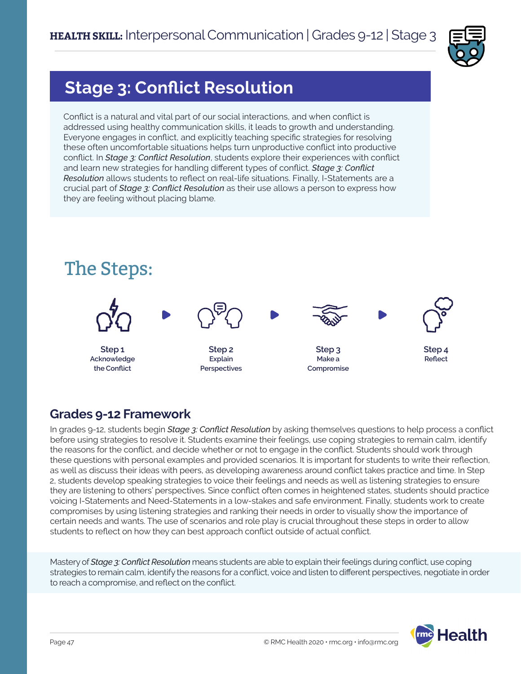

# **Stage 3: Conflict Resolution**

Conflict is a natural and vital part of our social interactions, and when conflict is addressed using healthy communication skills, it leads to growth and understanding. Everyone engages in conflict, and explicitly teaching specific strategies for resolving these often uncomfortable situations helps turn unproductive conflict into productive conflict. In *Stage 3: Conflict Resolution*, students explore their experiences with conflict and learn new strategies for handling different types of conflict. *Stage 3: Conflict Resolution* allows students to reflect on real-life situations. Finally, I-Statements are a crucial part of *Stage 3: Conflict Resolution* as their use allows a person to express how they are feeling without placing blame.



### **Grades 9-12 Framework**

In grades 9-12, students begin *Stage 3: Conflict Resolution* by asking themselves questions to help process a conflict before using strategies to resolve it. Students examine their feelings, use coping strategies to remain calm, identify the reasons for the conflict, and decide whether or not to engage in the conflict. Students should work through these questions with personal examples and provided scenarios. It is important for students to write their reflection, as well as discuss their ideas with peers, as developing awareness around conflict takes practice and time. In Step 2, students develop speaking strategies to voice their feelings and needs as well as listening strategies to ensure they are listening to others' perspectives. Since conflict often comes in heightened states, students should practice voicing I-Statements and Need-Statements in a low-stakes and safe environment. Finally, students work to create compromises by using listening strategies and ranking their needs in order to visually show the importance of certain needs and wants. The use of scenarios and role play is crucial throughout these steps in order to allow students to reflect on how they can best approach conflict outside of actual conflict.

Mastery of *Stage 3: Conflict Resolution* means students are able to explain their feelings during conflict, use coping strategies to remain calm, identify the reasons for a conflict, voice and listen to different perspectives, negotiate in order to reach a compromise, and reflect on the conflict.

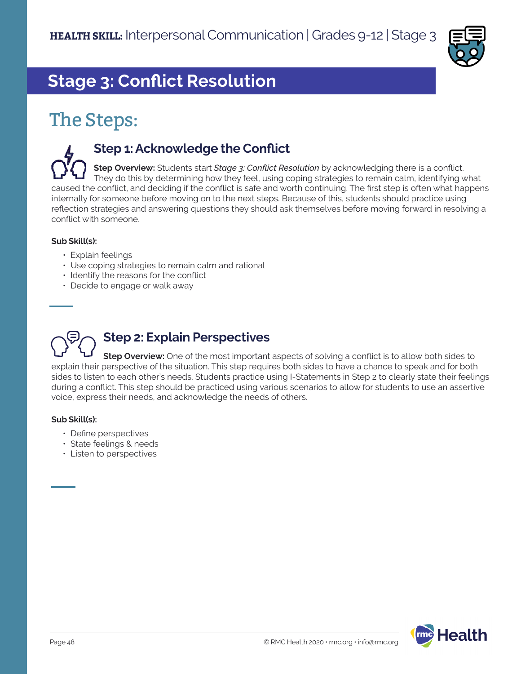

# **Stage 3: Conflict Resolution**

# The Steps:

### **Step 1: Acknowledge the Conflict**

**Step Overview:** Students start *Stage 3: Conflict Resolution* by acknowledging there is a conflict. They do this by determining how they feel, using coping strategies to remain calm, identifying what caused the conflict, and deciding if the conflict is safe and worth continuing. The first step is often what happens internally for someone before moving on to the next steps. Because of this, students should practice using reflection strategies and answering questions they should ask themselves before moving forward in resolving a conflict with someone.

#### **Sub Skill(s):**

- Explain feelings
- Use coping strategies to remain calm and rational
- Identify the reasons for the conflict
- Decide to engage or walk away

# **Step 2: Explain Perspectives**

**Step Overview:** One of the most important aspects of solving a conflict is to allow both sides to explain their perspective of the situation. This step requires both sides to have a chance to speak and for both sides to listen to each other's needs. Students practice using I-Statements in Step 2 to clearly state their feelings during a conflict. This step should be practiced using various scenarios to allow for students to use an assertive voice, express their needs, and acknowledge the needs of others.

#### **Sub Skill(s):**

- Define perspectives
- State feelings & needs
- Listen to perspectives